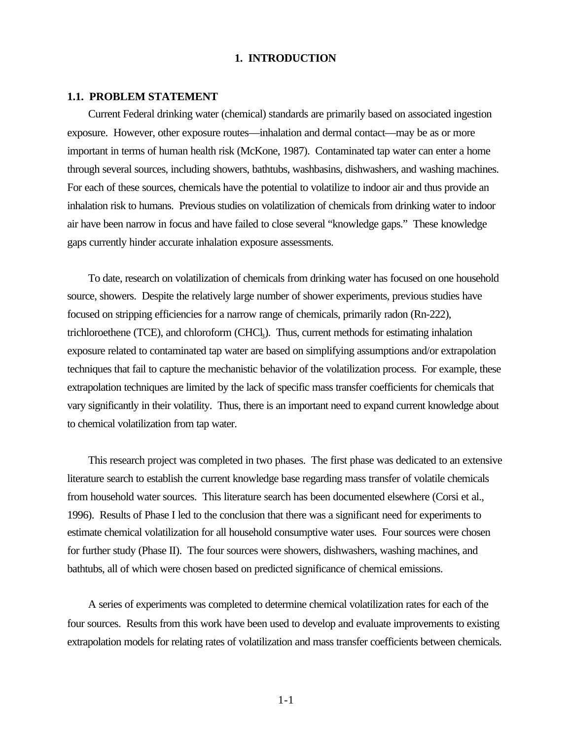## **1. INTRODUCTION**

#### **1.1. PROBLEM STATEMENT**

Current Federal drinking water (chemical) standards are primarily based on associated ingestion exposure. However, other exposure routes—inhalation and dermal contact—may be as or more important in terms of human health risk (McKone, 1987). Contaminated tap water can enter a home through several sources, including showers, bathtubs, washbasins, dishwashers, and washing machines. For each of these sources, chemicals have the potential to volatilize to indoor air and thus provide an inhalation risk to humans. Previous studies on volatilization of chemicals from drinking water to indoor air have been narrow in focus and have failed to close several "knowledge gaps." These knowledge gaps currently hinder accurate inhalation exposure assessments.

To date, research on volatilization of chemicals from drinking water has focused on one household source, showers. Despite the relatively large number of shower experiments, previous studies have focused on stripping efficiencies for a narrow range of chemicals, primarily radon (Rn-222), trichloroethene (TCE), and chloroform (CHCl<sub>3</sub>). Thus, current methods for estimating inhalation exposure related to contaminated tap water are based on simplifying assumptions and/or extrapolation techniques that fail to capture the mechanistic behavior of the volatilization process. For example, these extrapolation techniques are limited by the lack of specific mass transfer coefficients for chemicals that vary significantly in their volatility. Thus, there is an important need to expand current knowledge about to chemical volatilization from tap water.

This research project was completed in two phases. The first phase was dedicated to an extensive literature search to establish the current knowledge base regarding mass transfer of volatile chemicals from household water sources. This literature search has been documented elsewhere (Corsi et al., 1996). Results of Phase I led to the conclusion that there was a significant need for experiments to estimate chemical volatilization for all household consumptive water uses. Four sources were chosen for further study (Phase II). The four sources were showers, dishwashers, washing machines, and bathtubs, all of which were chosen based on predicted significance of chemical emissions.

A series of experiments was completed to determine chemical volatilization rates for each of the four sources. Results from this work have been used to develop and evaluate improvements to existing extrapolation models for relating rates of volatilization and mass transfer coefficients between chemicals.